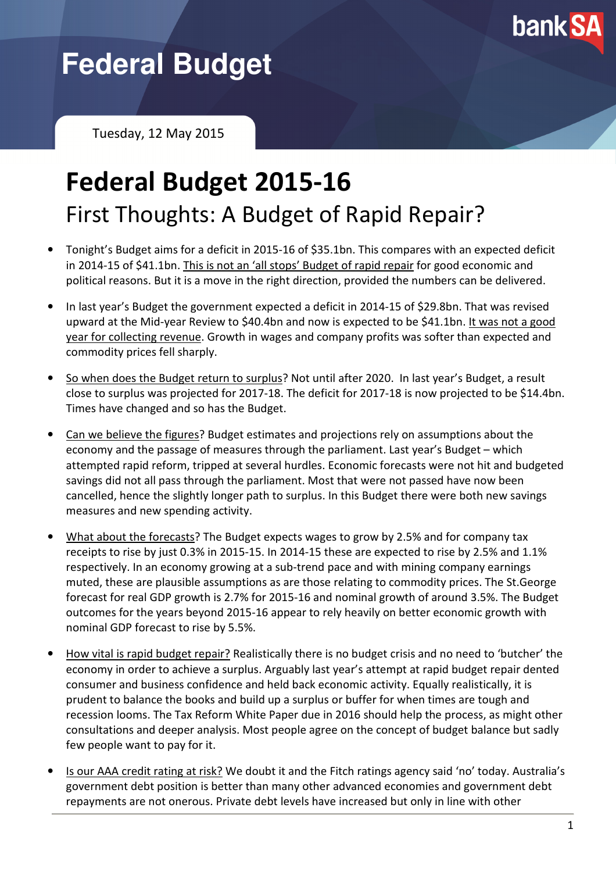

# **Federal Budget**

Tuesday, 12 May 2015

## Federal Budget 2015-16 First Thoughts: A Budget of Rapid Repair?

- Tonight's Budget aims for a deficit in 2015-16 of \$35.1bn. This compares with an expected deficit in 2014-15 of \$41.1bn. This is not an 'all stops' Budget of rapid repair for good economic and political reasons. But it is a move in the right direction, provided the numbers can be delivered.
- In last year's Budget the government expected a deficit in 2014-15 of \$29.8bn. That was revised upward at the Mid-year Review to \$40.4bn and now is expected to be \$41.1bn. It was not a good year for collecting revenue. Growth in wages and company profits was softer than expected and commodity prices fell sharply.
- So when does the Budget return to surplus? Not until after 2020. In last year's Budget, a result close to surplus was projected for 2017-18. The deficit for 2017-18 is now projected to be \$14.4bn. Times have changed and so has the Budget.
- Can we believe the figures? Budget estimates and projections rely on assumptions about the economy and the passage of measures through the parliament. Last year's Budget – which attempted rapid reform, tripped at several hurdles. Economic forecasts were not hit and budgeted savings did not all pass through the parliament. Most that were not passed have now been cancelled, hence the slightly longer path to surplus. In this Budget there were both new savings measures and new spending activity.
- What about the forecasts? The Budget expects wages to grow by 2.5% and for company tax receipts to rise by just 0.3% in 2015-15. In 2014-15 these are expected to rise by 2.5% and 1.1% respectively. In an economy growing at a sub-trend pace and with mining company earnings muted, these are plausible assumptions as are those relating to commodity prices. The St.George forecast for real GDP growth is 2.7% for 2015-16 and nominal growth of around 3.5%. The Budget outcomes for the years beyond 2015-16 appear to rely heavily on better economic growth with nominal GDP forecast to rise by 5.5%.
- How vital is rapid budget repair? Realistically there is no budget crisis and no need to 'butcher' the economy in order to achieve a surplus. Arguably last year's attempt at rapid budget repair dented consumer and business confidence and held back economic activity. Equally realistically, it is prudent to balance the books and build up a surplus or buffer for when times are tough and recession looms. The Tax Reform White Paper due in 2016 should help the process, as might other consultations and deeper analysis. Most people agree on the concept of budget balance but sadly few people want to pay for it.
- Is our AAA credit rating at risk? We doubt it and the Fitch ratings agency said 'no' today. Australia's government debt position is better than many other advanced economies and government debt repayments are not onerous. Private debt levels have increased but only in line with other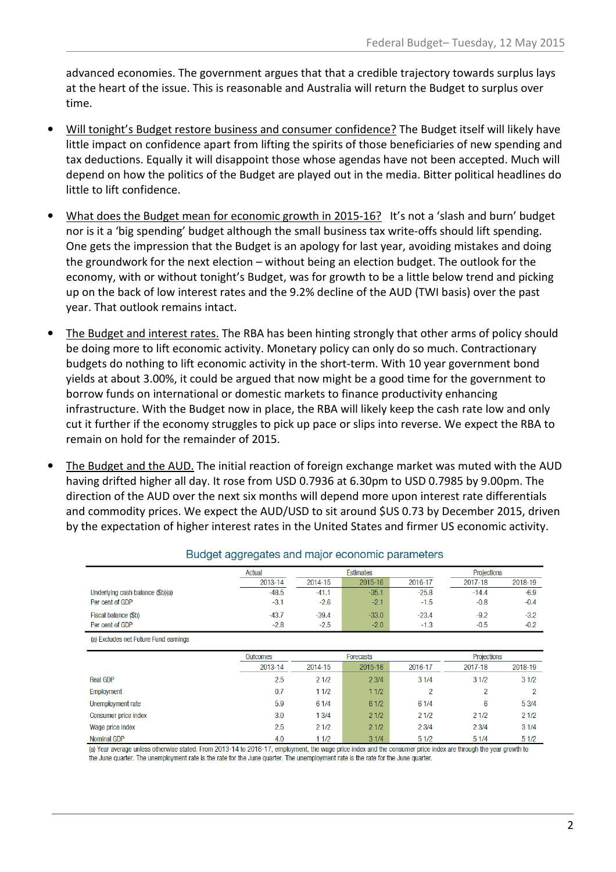advanced economies. The government argues that that a credible trajectory towards surplus lays at the heart of the issue. This is reasonable and Australia will return the Budget to surplus over time.

- Will tonight's Budget restore business and consumer confidence? The Budget itself will likely have little impact on confidence apart from lifting the spirits of those beneficiaries of new spending and tax deductions. Equally it will disappoint those whose agendas have not been accepted. Much will depend on how the politics of the Budget are played out in the media. Bitter political headlines do little to lift confidence.
- What does the Budget mean for economic growth in 2015-16? It's not a 'slash and burn' budget nor is it a 'big spending' budget although the small business tax write-offs should lift spending. One gets the impression that the Budget is an apology for last year, avoiding mistakes and doing the groundwork for the next election – without being an election budget. The outlook for the economy, with or without tonight's Budget, was for growth to be a little below trend and picking up on the back of low interest rates and the 9.2% decline of the AUD (TWI basis) over the past year. That outlook remains intact.
- The Budget and interest rates. The RBA has been hinting strongly that other arms of policy should be doing more to lift economic activity. Monetary policy can only do so much. Contractionary budgets do nothing to lift economic activity in the short-term. With 10 year government bond yields at about 3.00%, it could be argued that now might be a good time for the government to borrow funds on international or domestic markets to finance productivity enhancing infrastructure. With the Budget now in place, the RBA will likely keep the cash rate low and only cut it further if the economy struggles to pick up pace or slips into reverse. We expect the RBA to remain on hold for the remainder of 2015.
- The Budget and the AUD. The initial reaction of foreign exchange market was muted with the AUD having drifted higher all day. It rose from USD 0.7936 at 6.30pm to USD 0.7985 by 9.00pm. The direction of the AUD over the next six months will depend more upon interest rate differentials and commodity prices. We expect the AUD/USD to sit around \$US 0.73 by December 2015, driven by the expectation of higher interest rates in the United States and firmer US economic activity.

|                                       | Actual   | <b>Estimates</b> |             |         | Projections |         |
|---------------------------------------|----------|------------------|-------------|---------|-------------|---------|
|                                       | 2013-14  | 2014-15          | $2015 - 16$ | 2016-17 | 2017-18     | 2018-19 |
| Underlying cash balance (\$b)(a)      | $-48.5$  | $-41.1$          | $-35.1$     | $-25.8$ | $-14.4$     | $-6.9$  |
| Per cent of GDP                       | $-3.1$   | $-2.6$           | $-2.1$      | $-1.5$  | $-0.8$      | $-0.4$  |
| Fiscal balance (\$b)                  | $-43.7$  | $-39.4$          | $-33.0$     | $-23.4$ | $-9.2$      | $-3.2$  |
| Per cent of GDP                       | $-2.8$   | $-2.5$           | $-2.0$      | $-1.3$  | $-0.5$      | $-0.2$  |
| (a) Excludes net Future Fund earnings |          |                  |             |         |             |         |
|                                       | Outcomes | <b>Forecasts</b> |             |         | Projections |         |
|                                       | 2013-14  | 2014-15          | 2015-16     | 2016-17 | 2017-18     | 2018-19 |

 $21/2$ 

 $11/2$ 

 $61/4$ 

 $13/4$ 

 $21/2$ 

 $11/2$ 

 $23/4$ 

 $11/2$ 

 $61/2$ 

 $21/2$ 

 $21/2$ 

 $31/4$ 

 $31/4$ 

 $61/4$ 

 $21/2$ 

 $23/4$ 

 $51/2$ 

 $\overline{2}$ 

 $31/2$ 

 $21/2$ 

 $23/4$ 

 $51/4$ 

 $\overline{2}$ 

 $6\phantom{a}$ 

 $31/2$ 

5 3/4

 $21/2$ 

 $31/4$ 

 $51/2$ 

 $\overline{2}$ 

#### Budget aggregates and major economic parameters

(a) Year average unless otherwise stated. From 2013-14 to 2016-17, employment, the wage price index and the consumer price index are through the year growth to the June quarter. The unemployment rate is the rate for the June quarter. The unemployment rate is the rate for the June quarter.

2.5

 $0.7$ 

5.9

 $3.0$ 

2.5

 $4.0$ 

**Real GDP** 

Employment

Unemployment rate

Wage price index

Nominal GDP

**Consumer price index**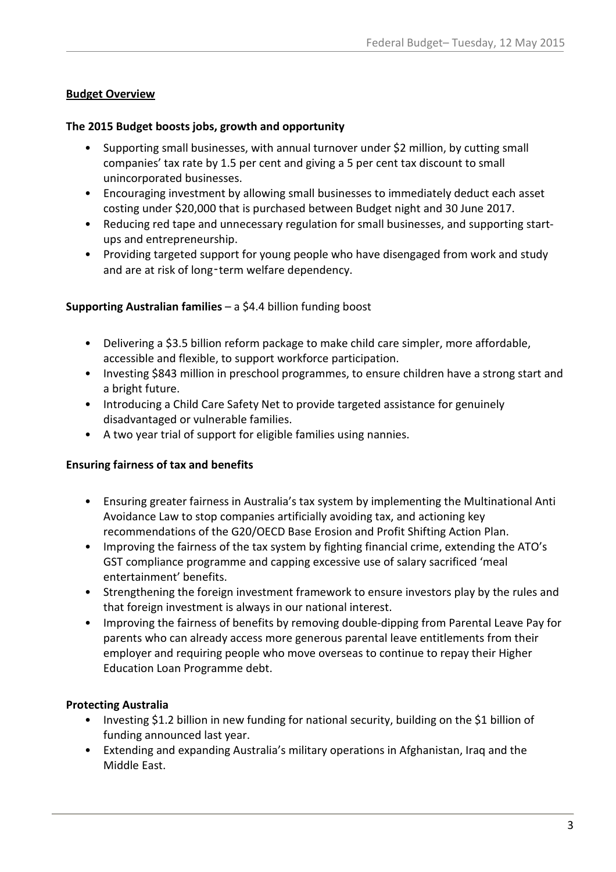#### Budget Overview

#### The 2015 Budget boosts jobs, growth and opportunity

- Supporting small businesses, with annual turnover under \$2 million, by cutting small companies' tax rate by 1.5 per cent and giving a 5 per cent tax discount to small unincorporated businesses.
- Encouraging investment by allowing small businesses to immediately deduct each asset costing under \$20,000 that is purchased between Budget night and 30 June 2017.
- Reducing red tape and unnecessary regulation for small businesses, and supporting startups and entrepreneurship.
- Providing targeted support for young people who have disengaged from work and study and are at risk of long-term welfare dependency.

#### Supporting Australian families – a \$4.4 billion funding boost

- Delivering a \$3.5 billion reform package to make child care simpler, more affordable, accessible and flexible, to support workforce participation.
- Investing \$843 million in preschool programmes, to ensure children have a strong start and a bright future.
- Introducing a Child Care Safety Net to provide targeted assistance for genuinely disadvantaged or vulnerable families.
- A two year trial of support for eligible families using nannies.

#### Ensuring fairness of tax and benefits

- Ensuring greater fairness in Australia's tax system by implementing the Multinational Anti Avoidance Law to stop companies artificially avoiding tax, and actioning key recommendations of the G20/OECD Base Erosion and Profit Shifting Action Plan.
- Improving the fairness of the tax system by fighting financial crime, extending the ATO's GST compliance programme and capping excessive use of salary sacrificed 'meal entertainment' benefits.
- Strengthening the foreign investment framework to ensure investors play by the rules and that foreign investment is always in our national interest.
- Improving the fairness of benefits by removing double-dipping from Parental Leave Pay for parents who can already access more generous parental leave entitlements from their employer and requiring people who move overseas to continue to repay their Higher Education Loan Programme debt.

#### Protecting Australia

- Investing \$1.2 billion in new funding for national security, building on the \$1 billion of funding announced last year.
- Extending and expanding Australia's military operations in Afghanistan, Iraq and the Middle East.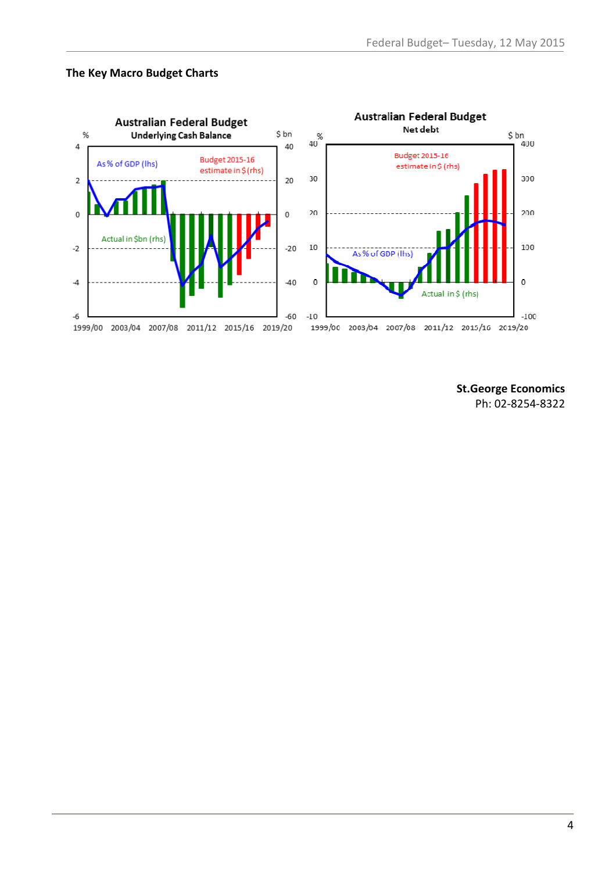#### The Key Macro Budget Charts



St.George Economics Ph: 02-8254-8322